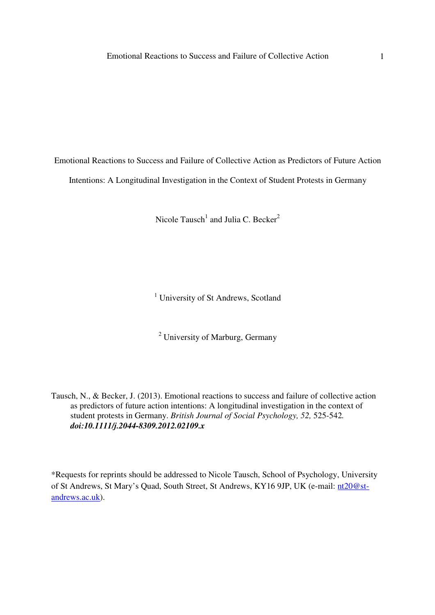Emotional Reactions to Success and Failure of Collective Action as Predictors of Future Action Intentions: A Longitudinal Investigation in the Context of Student Protests in Germany

Nicole Tausch<sup>1</sup> and Julia C. Becker<sup>2</sup>

<sup>1</sup> University of St Andrews, Scotland

<sup>2</sup> University of Marburg, Germany

Tausch, N., & Becker, J. (2013). Emotional reactions to success and failure of collective action as predictors of future action intentions: A longitudinal investigation in the context of student protests in Germany. *British Journal of Social Psychology, 52,* 525-542*. doi:10.1111/j.2044-8309.2012.02109.x* 

\*Requests for reprints should be addressed to Nicole Tausch, School of Psychology, University of St Andrews, St Mary's Quad, South Street, St Andrews, KY16 9JP, UK (e-mail: nt20@standrews.ac.uk).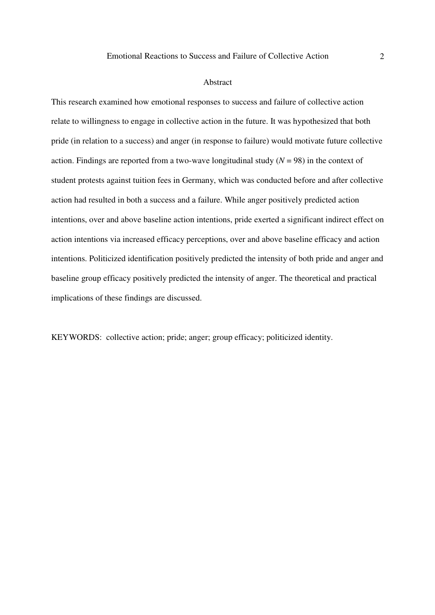#### Abstract

This research examined how emotional responses to success and failure of collective action relate to willingness to engage in collective action in the future. It was hypothesized that both pride (in relation to a success) and anger (in response to failure) would motivate future collective action. Findings are reported from a two-wave longitudinal study  $(N = 98)$  in the context of student protests against tuition fees in Germany, which was conducted before and after collective action had resulted in both a success and a failure. While anger positively predicted action intentions, over and above baseline action intentions, pride exerted a significant indirect effect on action intentions via increased efficacy perceptions, over and above baseline efficacy and action intentions. Politicized identification positively predicted the intensity of both pride and anger and baseline group efficacy positively predicted the intensity of anger. The theoretical and practical implications of these findings are discussed.

KEYWORDS: collective action; pride; anger; group efficacy; politicized identity.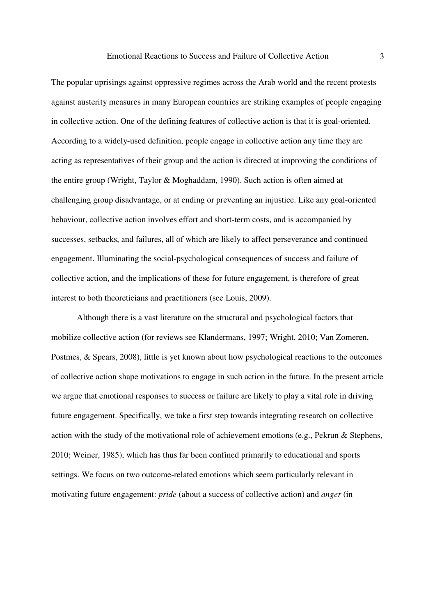The popular uprisings against oppressive regimes across the Arab world and the recent protests against austerity measures in many European countries are striking examples of people engaging in collective action. One of the defining features of collective action is that it is goal-oriented. According to a widely-used definition, people engage in collective action any time they are acting as representatives of their group and the action is directed at improving the conditions of the entire group (Wright, Taylor & Moghaddam, 1990). Such action is often aimed at challenging group disadvantage, or at ending or preventing an injustice. Like any goal-oriented behaviour, collective action involves effort and short-term costs, and is accompanied by successes, setbacks, and failures, all of which are likely to affect perseverance and continued engagement. Illuminating the social-psychological consequences of success and failure of collective action, and the implications of these for future engagement, is therefore of great interest to both theoreticians and practitioners (see Louis, 2009).

Although there is a vast literature on the structural and psychological factors that mobilize collective action (for reviews see Klandermans, 1997; Wright, 2010; Van Zomeren, Postmes, & Spears, 2008), little is yet known about how psychological reactions to the outcomes of collective action shape motivations to engage in such action in the future. In the present article we argue that emotional responses to success or failure are likely to play a vital role in driving future engagement. Specifically, we take a first step towards integrating research on collective action with the study of the motivational role of achievement emotions (e.g., Pekrun & Stephens, 2010; Weiner, 1985), which has thus far been confined primarily to educational and sports settings. We focus on two outcome-related emotions which seem particularly relevant in motivating future engagement: *pride* (about a success of collective action) and *anger* (in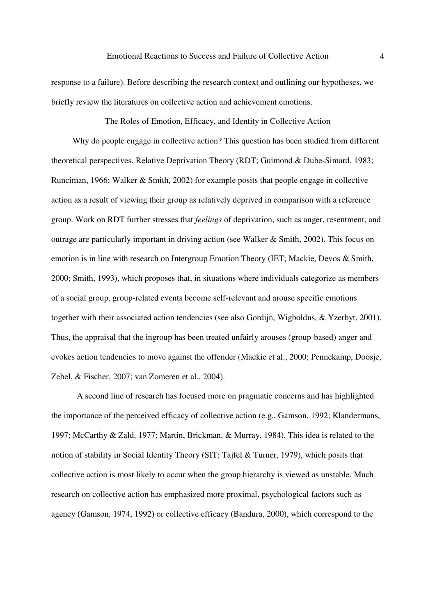response to a failure). Before describing the research context and outlining our hypotheses, we briefly review the literatures on collective action and achievement emotions.

The Roles of Emotion, Efficacy, and Identity in Collective Action

Why do people engage in collective action? This question has been studied from different theoretical perspectives. Relative Deprivation Theory (RDT; Guimond & Dube-Simard, 1983; Runciman, 1966; Walker & Smith, 2002) for example posits that people engage in collective action as a result of viewing their group as relatively deprived in comparison with a reference group. Work on RDT further stresses that *feelings* of deprivation, such as anger, resentment, and outrage are particularly important in driving action (see Walker & Smith, 2002). This focus on emotion is in line with research on Intergroup Emotion Theory (IET; Mackie, Devos & Smith, 2000; Smith, 1993), which proposes that, in situations where individuals categorize as members of a social group, group-related events become self-relevant and arouse specific emotions together with their associated action tendencies (see also Gordijn, Wigboldus, & Yzerbyt, 2001). Thus, the appraisal that the ingroup has been treated unfairly arouses (group-based) anger and evokes action tendencies to move against the offender (Mackie et al., 2000; Pennekamp, Doosje, Zebel, & Fischer, 2007; van Zomeren et al., 2004).

A second line of research has focused more on pragmatic concerns and has highlighted the importance of the perceived efficacy of collective action (e.g., Gamson, 1992; Klandermans, 1997; McCarthy & Zald, 1977; Martin, Brickman, & Murray, 1984). This idea is related to the notion of stability in Social Identity Theory (SIT; Tajfel & Turner, 1979), which posits that collective action is most likely to occur when the group hierarchy is viewed as unstable. Much research on collective action has emphasized more proximal, psychological factors such as agency (Gamson, 1974, 1992) or collective efficacy (Bandura, 2000), which correspond to the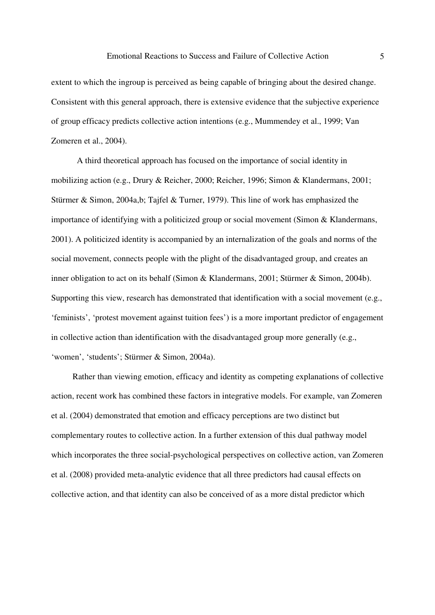extent to which the ingroup is perceived as being capable of bringing about the desired change. Consistent with this general approach, there is extensive evidence that the subjective experience of group efficacy predicts collective action intentions (e.g., Mummendey et al., 1999; Van Zomeren et al., 2004).

A third theoretical approach has focused on the importance of social identity in mobilizing action (e.g., Drury & Reicher, 2000; Reicher, 1996; Simon & Klandermans, 2001; Stürmer & Simon, 2004a,b; Tajfel & Turner, 1979). This line of work has emphasized the importance of identifying with a politicized group or social movement (Simon & Klandermans, 2001). A politicized identity is accompanied by an internalization of the goals and norms of the social movement, connects people with the plight of the disadvantaged group, and creates an inner obligation to act on its behalf (Simon & Klandermans, 2001; Stürmer & Simon, 2004b). Supporting this view, research has demonstrated that identification with a social movement (e.g., 'feminists', 'protest movement against tuition fees') is a more important predictor of engagement in collective action than identification with the disadvantaged group more generally (e.g., 'women', 'students'; Stürmer & Simon, 2004a).

Rather than viewing emotion, efficacy and identity as competing explanations of collective action, recent work has combined these factors in integrative models. For example, van Zomeren et al. (2004) demonstrated that emotion and efficacy perceptions are two distinct but complementary routes to collective action. In a further extension of this dual pathway model which incorporates the three social-psychological perspectives on collective action, van Zomeren et al. (2008) provided meta-analytic evidence that all three predictors had causal effects on collective action, and that identity can also be conceived of as a more distal predictor which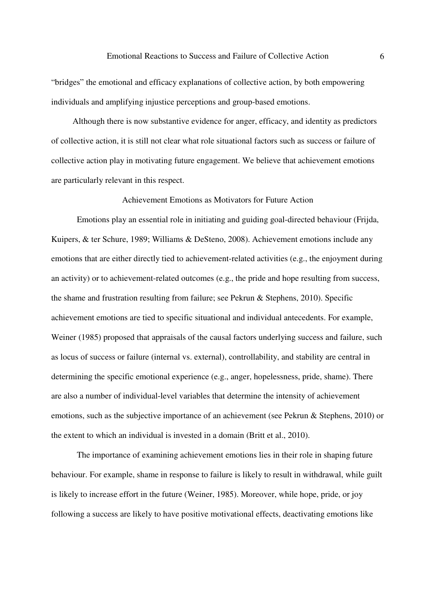"bridges" the emotional and efficacy explanations of collective action, by both empowering individuals and amplifying injustice perceptions and group-based emotions.

Although there is now substantive evidence for anger, efficacy, and identity as predictors of collective action, it is still not clear what role situational factors such as success or failure of collective action play in motivating future engagement. We believe that achievement emotions are particularly relevant in this respect.

### Achievement Emotions as Motivators for Future Action

Emotions play an essential role in initiating and guiding goal-directed behaviour (Frijda, Kuipers, & ter Schure, 1989; Williams & DeSteno, 2008). Achievement emotions include any emotions that are either directly tied to achievement-related activities (e.g., the enjoyment during an activity) or to achievement-related outcomes (e.g., the pride and hope resulting from success, the shame and frustration resulting from failure; see Pekrun & Stephens, 2010). Specific achievement emotions are tied to specific situational and individual antecedents. For example, Weiner (1985) proposed that appraisals of the causal factors underlying success and failure, such as locus of success or failure (internal vs. external), controllability, and stability are central in determining the specific emotional experience (e.g., anger, hopelessness, pride, shame). There are also a number of individual-level variables that determine the intensity of achievement emotions, such as the subjective importance of an achievement (see Pekrun & Stephens, 2010) or the extent to which an individual is invested in a domain (Britt et al., 2010).

The importance of examining achievement emotions lies in their role in shaping future behaviour. For example, shame in response to failure is likely to result in withdrawal, while guilt is likely to increase effort in the future (Weiner, 1985). Moreover, while hope, pride, or joy following a success are likely to have positive motivational effects, deactivating emotions like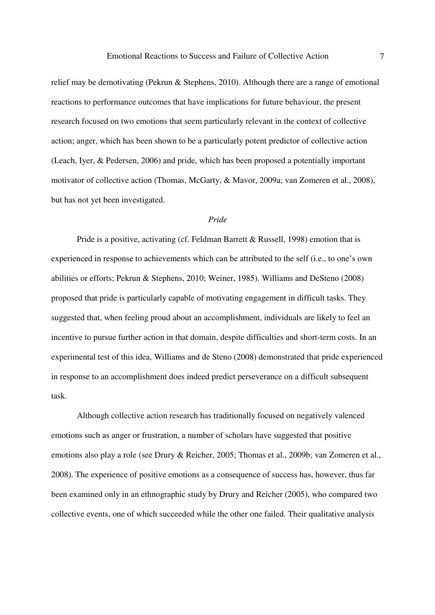relief may be demotivating (Pekrun & Stephens, 2010). Although there are a range of emotional reactions to performance outcomes that have implications for future behaviour, the present research focused on two emotions that seem particularly relevant in the context of collective action; anger, which has been shown to be a particularly potent predictor of collective action (Leach, Iyer, & Pedersen, 2006) and pride, which has been proposed a potentially important motivator of collective action (Thomas, McGarty, & Mavor, 2009a; van Zomeren et al., 2008), but has not yet been investigated.

### *Pride*

Pride is a positive, activating (cf. Feldman Barrett & Russell, 1998) emotion that is experienced in response to achievements which can be attributed to the self (i.e., to one's own abilities or efforts; Pekrun & Stephens, 2010; Weiner, 1985). Williams and DeSteno (2008) proposed that pride is particularly capable of motivating engagement in difficult tasks. They suggested that, when feeling proud about an accomplishment, individuals are likely to feel an incentive to pursue further action in that domain, despite difficulties and short-term costs. In an experimental test of this idea, Williams and de Steno (2008) demonstrated that pride experienced in response to an accomplishment does indeed predict perseverance on a difficult subsequent task.

Although collective action research has traditionally focused on negatively valenced emotions such as anger or frustration, a number of scholars have suggested that positive emotions also play a role (see Drury & Reicher, 2005; Thomas et al., 2009b; van Zomeren et al., 2008). The experience of positive emotions as a consequence of success has, however, thus far been examined only in an ethnographic study by Drury and Reicher (2005), who compared two collective events, one of which succeeded while the other one failed. Their qualitative analysis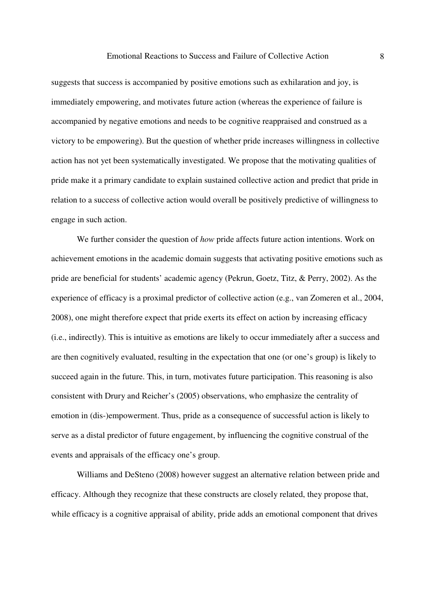suggests that success is accompanied by positive emotions such as exhilaration and joy, is immediately empowering, and motivates future action (whereas the experience of failure is accompanied by negative emotions and needs to be cognitive reappraised and construed as a victory to be empowering). But the question of whether pride increases willingness in collective action has not yet been systematically investigated. We propose that the motivating qualities of pride make it a primary candidate to explain sustained collective action and predict that pride in relation to a success of collective action would overall be positively predictive of willingness to engage in such action.

We further consider the question of *how* pride affects future action intentions. Work on achievement emotions in the academic domain suggests that activating positive emotions such as pride are beneficial for students' academic agency (Pekrun, Goetz, Titz, & Perry, 2002). As the experience of efficacy is a proximal predictor of collective action (e.g., van Zomeren et al., 2004, 2008), one might therefore expect that pride exerts its effect on action by increasing efficacy (i.e., indirectly). This is intuitive as emotions are likely to occur immediately after a success and are then cognitively evaluated, resulting in the expectation that one (or one's group) is likely to succeed again in the future. This, in turn, motivates future participation. This reasoning is also consistent with Drury and Reicher's (2005) observations, who emphasize the centrality of emotion in (dis-)empowerment. Thus, pride as a consequence of successful action is likely to serve as a distal predictor of future engagement, by influencing the cognitive construal of the events and appraisals of the efficacy one's group.

Williams and DeSteno (2008) however suggest an alternative relation between pride and efficacy. Although they recognize that these constructs are closely related, they propose that, while efficacy is a cognitive appraisal of ability, pride adds an emotional component that drives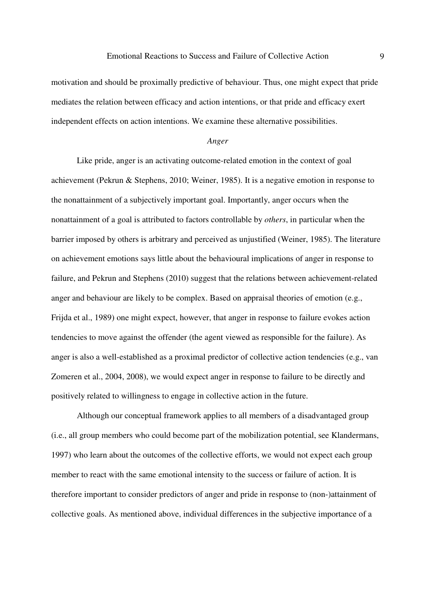motivation and should be proximally predictive of behaviour. Thus, one might expect that pride mediates the relation between efficacy and action intentions, or that pride and efficacy exert independent effects on action intentions. We examine these alternative possibilities.

## *Anger*

Like pride, anger is an activating outcome-related emotion in the context of goal achievement (Pekrun & Stephens, 2010; Weiner, 1985). It is a negative emotion in response to the nonattainment of a subjectively important goal. Importantly, anger occurs when the nonattainment of a goal is attributed to factors controllable by *others*, in particular when the barrier imposed by others is arbitrary and perceived as unjustified (Weiner, 1985). The literature on achievement emotions says little about the behavioural implications of anger in response to failure, and Pekrun and Stephens (2010) suggest that the relations between achievement-related anger and behaviour are likely to be complex. Based on appraisal theories of emotion (e.g., Frijda et al., 1989) one might expect, however, that anger in response to failure evokes action tendencies to move against the offender (the agent viewed as responsible for the failure). As anger is also a well-established as a proximal predictor of collective action tendencies (e.g., van Zomeren et al., 2004, 2008), we would expect anger in response to failure to be directly and positively related to willingness to engage in collective action in the future.

Although our conceptual framework applies to all members of a disadvantaged group (i.e., all group members who could become part of the mobilization potential, see Klandermans, 1997) who learn about the outcomes of the collective efforts, we would not expect each group member to react with the same emotional intensity to the success or failure of action. It is therefore important to consider predictors of anger and pride in response to (non-)attainment of collective goals. As mentioned above, individual differences in the subjective importance of a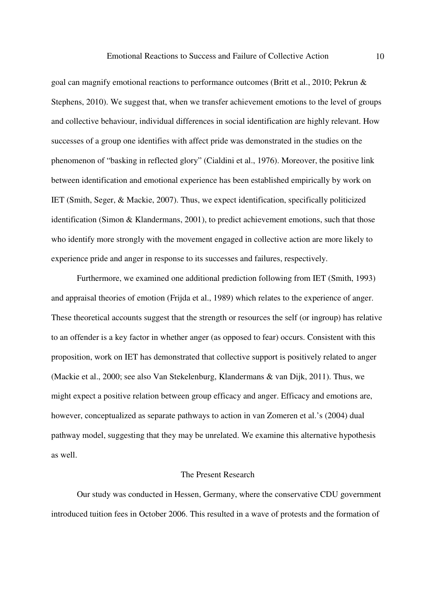goal can magnify emotional reactions to performance outcomes (Britt et al., 2010; Pekrun & Stephens, 2010). We suggest that, when we transfer achievement emotions to the level of groups and collective behaviour, individual differences in social identification are highly relevant. How successes of a group one identifies with affect pride was demonstrated in the studies on the phenomenon of "basking in reflected glory" (Cialdini et al., 1976). Moreover, the positive link between identification and emotional experience has been established empirically by work on IET (Smith, Seger, & Mackie, 2007). Thus, we expect identification, specifically politicized identification (Simon & Klandermans, 2001), to predict achievement emotions, such that those who identify more strongly with the movement engaged in collective action are more likely to experience pride and anger in response to its successes and failures, respectively.

Furthermore, we examined one additional prediction following from IET (Smith, 1993) and appraisal theories of emotion (Frijda et al., 1989) which relates to the experience of anger. These theoretical accounts suggest that the strength or resources the self (or ingroup) has relative to an offender is a key factor in whether anger (as opposed to fear) occurs. Consistent with this proposition, work on IET has demonstrated that collective support is positively related to anger (Mackie et al., 2000; see also Van Stekelenburg, Klandermans & van Dijk, 2011). Thus, we might expect a positive relation between group efficacy and anger. Efficacy and emotions are, however, conceptualized as separate pathways to action in van Zomeren et al.'s (2004) dual pathway model, suggesting that they may be unrelated. We examine this alternative hypothesis as well.

## The Present Research

Our study was conducted in Hessen, Germany, where the conservative CDU government introduced tuition fees in October 2006. This resulted in a wave of protests and the formation of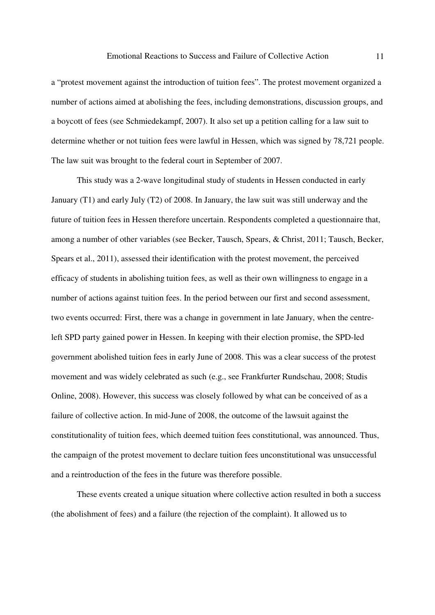a "protest movement against the introduction of tuition fees". The protest movement organized a number of actions aimed at abolishing the fees, including demonstrations, discussion groups, and a boycott of fees (see Schmiedekampf, 2007). It also set up a petition calling for a law suit to determine whether or not tuition fees were lawful in Hessen, which was signed by 78,721 people. The law suit was brought to the federal court in September of 2007.

This study was a 2-wave longitudinal study of students in Hessen conducted in early January (T1) and early July (T2) of 2008. In January, the law suit was still underway and the future of tuition fees in Hessen therefore uncertain. Respondents completed a questionnaire that, among a number of other variables (see Becker, Tausch, Spears, & Christ, 2011; Tausch, Becker, Spears et al., 2011), assessed their identification with the protest movement, the perceived efficacy of students in abolishing tuition fees, as well as their own willingness to engage in a number of actions against tuition fees. In the period between our first and second assessment, two events occurred: First, there was a change in government in late January, when the centreleft SPD party gained power in Hessen. In keeping with their election promise, the SPD-led government abolished tuition fees in early June of 2008. This was a clear success of the protest movement and was widely celebrated as such (e.g., see Frankfurter Rundschau, 2008; Studis Online, 2008). However, this success was closely followed by what can be conceived of as a failure of collective action. In mid-June of 2008, the outcome of the lawsuit against the constitutionality of tuition fees, which deemed tuition fees constitutional, was announced. Thus, the campaign of the protest movement to declare tuition fees unconstitutional was unsuccessful and a reintroduction of the fees in the future was therefore possible.

These events created a unique situation where collective action resulted in both a success (the abolishment of fees) and a failure (the rejection of the complaint). It allowed us to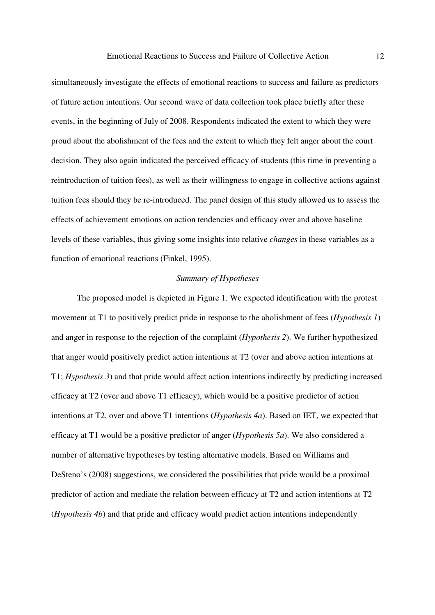simultaneously investigate the effects of emotional reactions to success and failure as predictors of future action intentions. Our second wave of data collection took place briefly after these events, in the beginning of July of 2008. Respondents indicated the extent to which they were proud about the abolishment of the fees and the extent to which they felt anger about the court decision. They also again indicated the perceived efficacy of students (this time in preventing a reintroduction of tuition fees), as well as their willingness to engage in collective actions against tuition fees should they be re-introduced. The panel design of this study allowed us to assess the effects of achievement emotions on action tendencies and efficacy over and above baseline levels of these variables, thus giving some insights into relative *changes* in these variables as a function of emotional reactions (Finkel, 1995).

#### *Summary of Hypotheses*

The proposed model is depicted in Figure 1. We expected identification with the protest movement at T1 to positively predict pride in response to the abolishment of fees (*Hypothesis 1*) and anger in response to the rejection of the complaint (*Hypothesis 2*). We further hypothesized that anger would positively predict action intentions at T2 (over and above action intentions at T1; *Hypothesis 3*) and that pride would affect action intentions indirectly by predicting increased efficacy at T2 (over and above T1 efficacy), which would be a positive predictor of action intentions at T2, over and above T1 intentions (*Hypothesis 4a*). Based on IET, we expected that efficacy at T1 would be a positive predictor of anger (*Hypothesis 5a*). We also considered a number of alternative hypotheses by testing alternative models. Based on Williams and DeSteno's (2008) suggestions, we considered the possibilities that pride would be a proximal predictor of action and mediate the relation between efficacy at T2 and action intentions at T2 (*Hypothesis 4b*) and that pride and efficacy would predict action intentions independently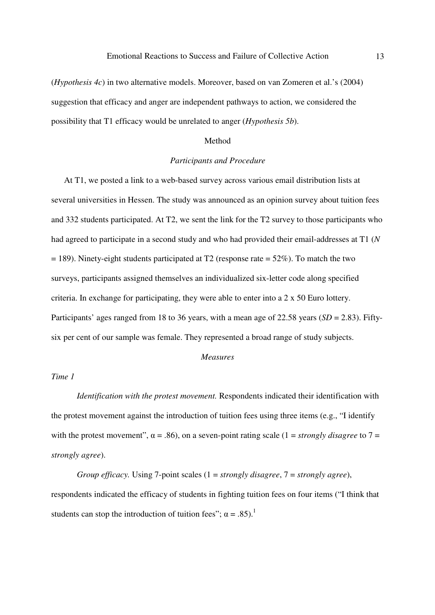(*Hypothesis 4c*) in two alternative models. Moreover, based on van Zomeren et al.'s (2004) suggestion that efficacy and anger are independent pathways to action, we considered the possibility that T1 efficacy would be unrelated to anger (*Hypothesis 5b*).

## Method

## *Participants and Procedure*

At T1, we posted a link to a web-based survey across various email distribution lists at several universities in Hessen. The study was announced as an opinion survey about tuition fees and 332 students participated. At T2, we sent the link for the T2 survey to those participants who had agreed to participate in a second study and who had provided their email-addresses at T1 (*N*  $= 189$ ). Ninety-eight students participated at T2 (response rate  $= 52\%$ ). To match the two surveys, participants assigned themselves an individualized six-letter code along specified criteria. In exchange for participating, they were able to enter into a 2 x 50 Euro lottery. Participants' ages ranged from 18 to 36 years, with a mean age of 22.58 years (*SD* = 2.83). Fiftysix per cent of our sample was female. They represented a broad range of study subjects.

#### *Measures*

## *Time 1*

*Identification with the protest movement.* Respondents indicated their identification with the protest movement against the introduction of tuition fees using three items (e.g., "I identify with the protest movement",  $\alpha = .86$ ), on a seven-point rating scale (1 = *strongly disagree* to 7 = *strongly agree*).

*Group efficacy.* Using 7-point scales (1 = *strongly disagree*, 7 = *strongly agree*), respondents indicated the efficacy of students in fighting tuition fees on four items ("I think that students can stop the introduction of tuition fees";  $\alpha = .85$ ).<sup>1</sup>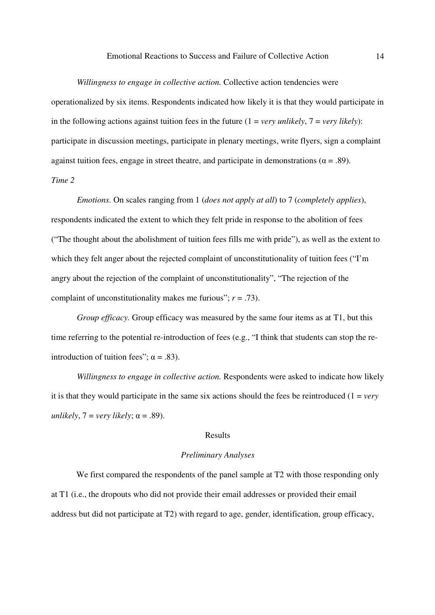*Willingness to engage in collective action.* Collective action tendencies were

operationalized by six items. Respondents indicated how likely it is that they would participate in in the following actions against tuition fees in the future  $(1 = \text{very unlikely}, 7 = \text{very likely})$ : participate in discussion meetings, participate in plenary meetings, write flyers, sign a complaint against tuition fees, engage in street theatre, and participate in demonstrations ( $\alpha$  = .89). *Time 2* 

*Emotions*. On scales ranging from 1 (*does not apply at all*) to 7 (*completely applies*), respondents indicated the extent to which they felt pride in response to the abolition of fees ("The thought about the abolishment of tuition fees fills me with pride"), as well as the extent to which they felt anger about the rejected complaint of unconstitutionality of tuition fees ("I'm angry about the rejection of the complaint of unconstitutionality", "The rejection of the complaint of unconstitutionality makes me furious"; *r* = .73).

*Group efficacy*. Group efficacy was measured by the same four items as at T1, but this time referring to the potential re-introduction of fees (e.g., "I think that students can stop the reintroduction of tuition fees";  $\alpha = .83$ ).

*Willingness to engage in collective action.* Respondents were asked to indicate how likely it is that they would participate in the same six actions should the fees be reintroduced  $(1 = verv)$ *unlikely*,  $7 = \text{very likely}$ ;  $\alpha = .89$ ).

## Results

#### *Preliminary Analyses*

We first compared the respondents of the panel sample at T2 with those responding only at T1 (i.e., the dropouts who did not provide their email addresses or provided their email address but did not participate at T2) with regard to age, gender, identification, group efficacy,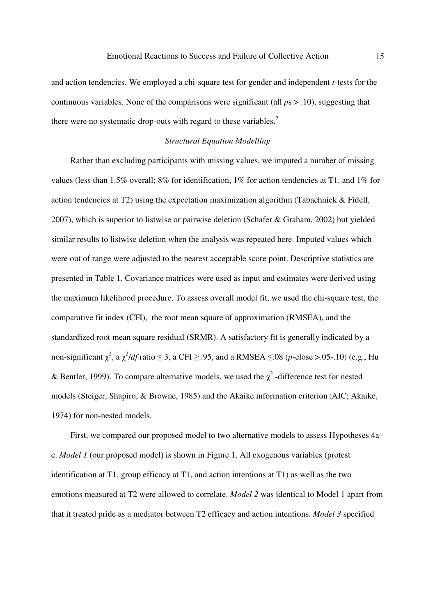and action tendencies. We employed a chi-square test for gender and independent *t*-tests for the continuous variables. None of the comparisons were significant (all *p*s > .10), suggesting that there were no systematic drop-outs with regard to these variables. $<sup>2</sup>$ </sup>

## *Structural Equation Modelling*

Rather than excluding participants with missing values, we imputed a number of missing values (less than 1.5% overall; 8% for identification, 1% for action tendencies at T1, and 1% for action tendencies at T2) using the expectation maximization algorithm (Tabachnick & Fidell, 2007), which is superior to listwise or pairwise deletion (Schafer & Graham, 2002) but yielded similar results to listwise deletion when the analysis was repeated here. Imputed values which were out of range were adjusted to the nearest acceptable score point. Descriptive statistics are presented in Table 1. Covariance matrices were used as input and estimates were derived using the maximum likelihood procedure. To assess overall model fit, we used the chi-square test, the comparative fit index (CFI), the root mean square of approximation (RMSEA), and the standardized root mean square residual (SRMR). A satisfactory fit is generally indicated by a non-significant  $\chi^2$ , a  $\chi^2$ /*df* ratio  $\leq$  3, a CFI  $\geq$  .95, and a RMSEA  $\leq$ .08 (*p*-close >.05-.10) (e.g., Hu & Bentler, 1999). To compare alternative models, we used the  $\chi^2$ -difference test for nested models (Steiger, Shapiro, & Browne, 1985) and the Akaike information criterion (AIC; Akaike, 1974) for non-nested models.

First, we compared our proposed model to two alternative models to assess Hypotheses 4ac. *Model 1* (our proposed model) is shown in Figure 1. All exogenous variables (protest identification at T1, group efficacy at T1, and action intentions at T1) as well as the two emotions measured at T2 were allowed to correlate. *Model 2* was identical to Model 1 apart from that it treated pride as a mediator between T2 efficacy and action intentions. *Model 3* specified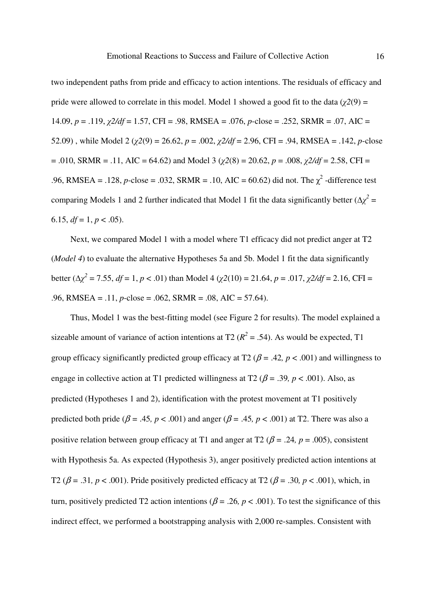two independent paths from pride and efficacy to action intentions. The residuals of efficacy and pride were allowed to correlate in this model. Model 1 showed a good fit to the data ( $\chi^2(9)$ ) = 14.09, *p* = .119, χ*2/df* = 1.57, CFI = .98, RMSEA = .076, *p*-close = .252, SRMR = .07, AIC = 52.09), while Model 2 ( $\chi$ 2(9) = 26.62, *p* = .002,  $\chi$ 2/df = 2.96, CFI = .94, RMSEA = .142, *p*-close  $= .010$ , SRMR  $= .11$ , AIC  $= 64.62$ ) and Model 3 ( $\gamma$ 2(8)  $= 20.62$ ,  $p = .008$ ,  $\gamma$ 2/df  $= 2.58$ , CFI  $=$ .96, RMSEA = .128, *p*-close = .032, SRMR = .10, AIC = 60.62) did not. The  $\chi^2$ -difference test comparing Models 1 and 2 further indicated that Model 1 fit the data significantly better  $(\Delta \chi^2 =$ 6.15,  $df = 1, p < .05$ ).

Next, we compared Model 1 with a model where T1 efficacy did not predict anger at T2 (*Model 4*) to evaluate the alternative Hypotheses 5a and 5b. Model 1 fit the data significantly  $\text{better } (\Delta \chi^2 = 7.55, df = 1, p < .01) \text{ than Model } 4 (χ2(10) = 21.64, p = .017, χ2/df = 2.16, CFI = 1.017$ .96, RMSEA = .11, *p*-close = .062, SRMR = .08, AIC = 57.64).

Thus, Model 1 was the best-fitting model (see Figure 2 for results). The model explained a sizeable amount of variance of action intentions at T2 ( $R^2$  = .54). As would be expected, T1 group efficacy significantly predicted group efficacy at T2 ( $\beta$  = .42*, p* < .001) and willingness to engage in collective action at T1 predicted willingness at T2 ( $\beta$  = .39*, p* < .001). Also, as predicted (Hypotheses 1 and 2), identification with the protest movement at T1 positively predicted both pride ( $\beta$  = .45*, p* < .001) and anger ( $\beta$  = .45*, p* < .001) at T2. There was also a positive relation between group efficacy at T1 and anger at T2 ( $\beta$  = .24*, p* = .005), consistent with Hypothesis 5a. As expected (Hypothesis 3), anger positively predicted action intentions at T2 ( $\beta$  = .31*, p* < .001). Pride positively predicted efficacy at T2 ( $\beta$  = .30*, p* < .001), which, in turn, positively predicted T2 action intentions ( $\beta$  = .26*, p* < .001). To test the significance of this indirect effect, we performed a bootstrapping analysis with 2,000 re-samples. Consistent with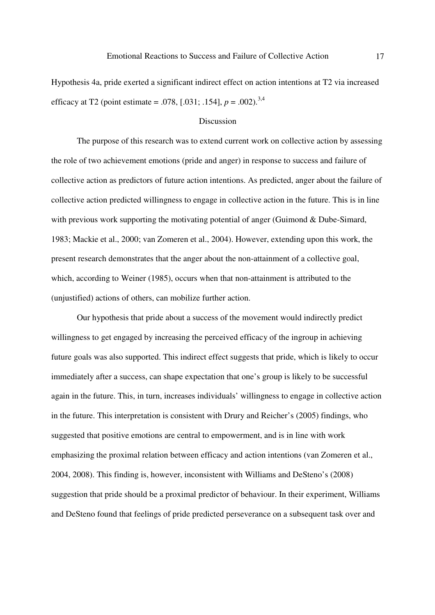Hypothesis 4a, pride exerted a significant indirect effect on action intentions at T2 via increased efficacy at T2 (point estimate = .078, [.031; .154],  $p = .002$ ).<sup>3,4</sup>

#### Discussion

The purpose of this research was to extend current work on collective action by assessing the role of two achievement emotions (pride and anger) in response to success and failure of collective action as predictors of future action intentions. As predicted, anger about the failure of collective action predicted willingness to engage in collective action in the future. This is in line with previous work supporting the motivating potential of anger (Guimond & Dube-Simard, 1983; Mackie et al., 2000; van Zomeren et al., 2004). However, extending upon this work, the present research demonstrates that the anger about the non-attainment of a collective goal, which, according to Weiner (1985), occurs when that non-attainment is attributed to the (unjustified) actions of others, can mobilize further action.

Our hypothesis that pride about a success of the movement would indirectly predict willingness to get engaged by increasing the perceived efficacy of the ingroup in achieving future goals was also supported. This indirect effect suggests that pride, which is likely to occur immediately after a success, can shape expectation that one's group is likely to be successful again in the future. This, in turn, increases individuals' willingness to engage in collective action in the future. This interpretation is consistent with Drury and Reicher's (2005) findings, who suggested that positive emotions are central to empowerment, and is in line with work emphasizing the proximal relation between efficacy and action intentions (van Zomeren et al., 2004, 2008). This finding is, however, inconsistent with Williams and DeSteno's (2008) suggestion that pride should be a proximal predictor of behaviour. In their experiment, Williams and DeSteno found that feelings of pride predicted perseverance on a subsequent task over and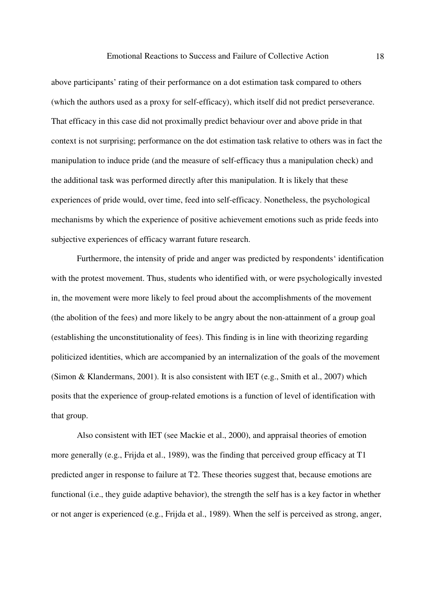above participants' rating of their performance on a dot estimation task compared to others (which the authors used as a proxy for self-efficacy), which itself did not predict perseverance. That efficacy in this case did not proximally predict behaviour over and above pride in that context is not surprising; performance on the dot estimation task relative to others was in fact the manipulation to induce pride (and the measure of self-efficacy thus a manipulation check) and the additional task was performed directly after this manipulation. It is likely that these experiences of pride would, over time, feed into self-efficacy. Nonetheless, the psychological mechanisms by which the experience of positive achievement emotions such as pride feeds into subjective experiences of efficacy warrant future research.

Furthermore, the intensity of pride and anger was predicted by respondents' identification with the protest movement. Thus, students who identified with, or were psychologically invested in, the movement were more likely to feel proud about the accomplishments of the movement (the abolition of the fees) and more likely to be angry about the non-attainment of a group goal (establishing the unconstitutionality of fees). This finding is in line with theorizing regarding politicized identities, which are accompanied by an internalization of the goals of the movement (Simon & Klandermans, 2001). It is also consistent with IET (e.g., Smith et al., 2007) which posits that the experience of group-related emotions is a function of level of identification with that group.

Also consistent with IET (see Mackie et al., 2000), and appraisal theories of emotion more generally (e.g., Frijda et al., 1989), was the finding that perceived group efficacy at T1 predicted anger in response to failure at T2. These theories suggest that, because emotions are functional (i.e., they guide adaptive behavior), the strength the self has is a key factor in whether or not anger is experienced (e.g., Frijda et al., 1989). When the self is perceived as strong, anger,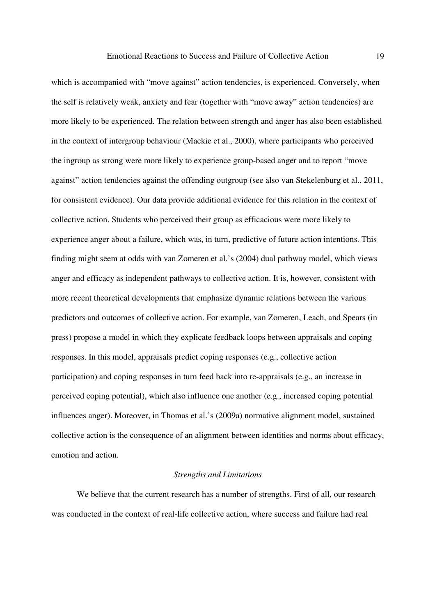which is accompanied with "move against" action tendencies, is experienced. Conversely, when the self is relatively weak, anxiety and fear (together with "move away" action tendencies) are more likely to be experienced. The relation between strength and anger has also been established in the context of intergroup behaviour (Mackie et al., 2000), where participants who perceived the ingroup as strong were more likely to experience group-based anger and to report "move against" action tendencies against the offending outgroup (see also van Stekelenburg et al., 2011, for consistent evidence). Our data provide additional evidence for this relation in the context of collective action. Students who perceived their group as efficacious were more likely to experience anger about a failure, which was, in turn, predictive of future action intentions. This finding might seem at odds with van Zomeren et al.'s (2004) dual pathway model, which views anger and efficacy as independent pathways to collective action. It is, however, consistent with more recent theoretical developments that emphasize dynamic relations between the various predictors and outcomes of collective action. For example, van Zomeren, Leach, and Spears (in press) propose a model in which they explicate feedback loops between appraisals and coping responses. In this model, appraisals predict coping responses (e.g., collective action participation) and coping responses in turn feed back into re-appraisals (e.g., an increase in perceived coping potential), which also influence one another (e.g., increased coping potential influences anger). Moreover, in Thomas et al.'s (2009a) normative alignment model, sustained collective action is the consequence of an alignment between identities and norms about efficacy, emotion and action.

#### *Strengths and Limitations*

We believe that the current research has a number of strengths. First of all, our research was conducted in the context of real-life collective action, where success and failure had real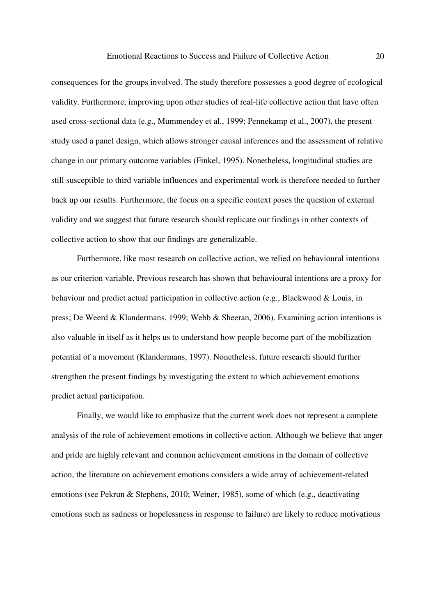consequences for the groups involved. The study therefore possesses a good degree of ecological validity. Furthermore, improving upon other studies of real-life collective action that have often used cross-sectional data (e.g., Mummendey et al., 1999; Pennekamp et al., 2007), the present study used a panel design, which allows stronger causal inferences and the assessment of relative change in our primary outcome variables (Finkel, 1995). Nonetheless, longitudinal studies are still susceptible to third variable influences and experimental work is therefore needed to further back up our results. Furthermore, the focus on a specific context poses the question of external validity and we suggest that future research should replicate our findings in other contexts of collective action to show that our findings are generalizable.

Furthermore, like most research on collective action, we relied on behavioural intentions as our criterion variable. Previous research has shown that behavioural intentions are a proxy for behaviour and predict actual participation in collective action (e.g., Blackwood & Louis, in press; De Weerd & Klandermans, 1999; Webb & Sheeran, 2006). Examining action intentions is also valuable in itself as it helps us to understand how people become part of the mobilization potential of a movement (Klandermans, 1997). Nonetheless, future research should further strengthen the present findings by investigating the extent to which achievement emotions predict actual participation.

Finally, we would like to emphasize that the current work does not represent a complete analysis of the role of achievement emotions in collective action. Although we believe that anger and pride are highly relevant and common achievement emotions in the domain of collective action, the literature on achievement emotions considers a wide array of achievement-related emotions (see Pekrun & Stephens, 2010; Weiner, 1985), some of which (e.g., deactivating emotions such as sadness or hopelessness in response to failure) are likely to reduce motivations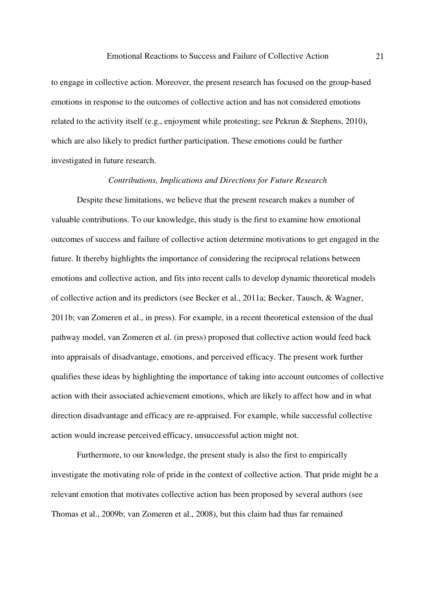to engage in collective action. Moreover, the present research has focused on the group-based emotions in response to the outcomes of collective action and has not considered emotions related to the activity itself (e.g., enjoyment while protesting; see Pekrun & Stephens, 2010), which are also likely to predict further participation. These emotions could be further investigated in future research.

#### *Contributions, Implications and Directions for Future Research*

Despite these limitations, we believe that the present research makes a number of valuable contributions. To our knowledge, this study is the first to examine how emotional outcomes of success and failure of collective action determine motivations to get engaged in the future. It thereby highlights the importance of considering the reciprocal relations between emotions and collective action, and fits into recent calls to develop dynamic theoretical models of collective action and its predictors (see Becker et al., 2011a; Becker, Tausch, & Wagner, 2011b; van Zomeren et al., in press). For example, in a recent theoretical extension of the dual pathway model, van Zomeren et al. (in press) proposed that collective action would feed back into appraisals of disadvantage, emotions, and perceived efficacy. The present work further qualifies these ideas by highlighting the importance of taking into account outcomes of collective action with their associated achievement emotions, which are likely to affect how and in what direction disadvantage and efficacy are re-appraised. For example, while successful collective action would increase perceived efficacy, unsuccessful action might not.

Furthermore, to our knowledge, the present study is also the first to empirically investigate the motivating role of pride in the context of collective action. That pride might be a relevant emotion that motivates collective action has been proposed by several authors (see Thomas et al., 2009b; van Zomeren et al., 2008), but this claim had thus far remained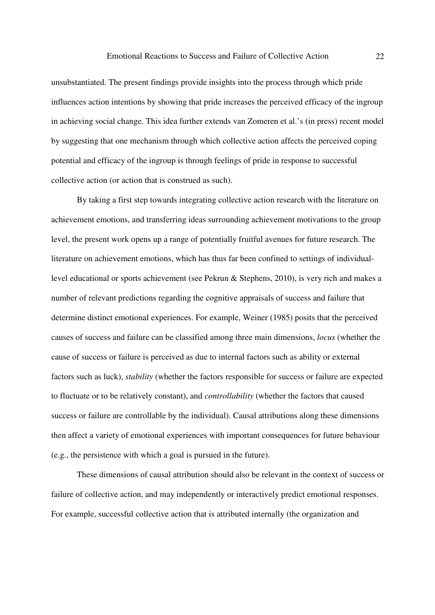unsubstantiated. The present findings provide insights into the process through which pride influences action intentions by showing that pride increases the perceived efficacy of the ingroup in achieving social change. This idea further extends van Zomeren et al.'s (in press) recent model by suggesting that one mechanism through which collective action affects the perceived coping potential and efficacy of the ingroup is through feelings of pride in response to successful collective action (or action that is construed as such).

By taking a first step towards integrating collective action research with the literature on achievement emotions, and transferring ideas surrounding achievement motivations to the group level, the present work opens up a range of potentially fruitful avenues for future research. The literature on achievement emotions, which has thus far been confined to settings of individuallevel educational or sports achievement (see Pekrun & Stephens, 2010), is very rich and makes a number of relevant predictions regarding the cognitive appraisals of success and failure that determine distinct emotional experiences. For example, Weiner (1985) posits that the perceived causes of success and failure can be classified among three main dimensions, *locus* (whether the cause of success or failure is perceived as due to internal factors such as ability or external factors such as luck), *stability* (whether the factors responsible for success or failure are expected to fluctuate or to be relatively constant), and *controllability* (whether the factors that caused success or failure are controllable by the individual). Causal attributions along these dimensions then affect a variety of emotional experiences with important consequences for future behaviour (e.g., the persistence with which a goal is pursued in the future).

These dimensions of causal attribution should also be relevant in the context of success or failure of collective action, and may independently or interactively predict emotional responses. For example, successful collective action that is attributed internally (the organization and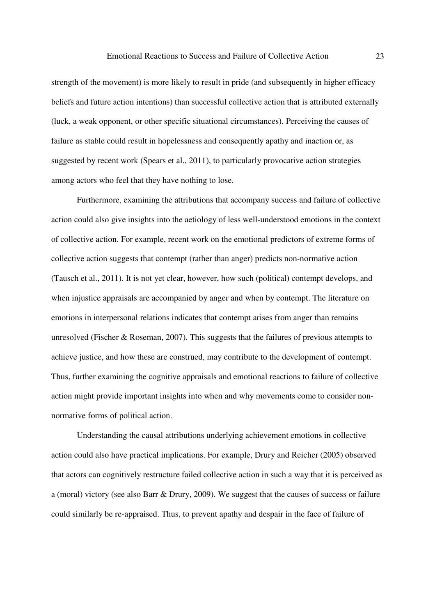strength of the movement) is more likely to result in pride (and subsequently in higher efficacy beliefs and future action intentions) than successful collective action that is attributed externally (luck, a weak opponent, or other specific situational circumstances). Perceiving the causes of failure as stable could result in hopelessness and consequently apathy and inaction or, as suggested by recent work (Spears et al., 2011), to particularly provocative action strategies among actors who feel that they have nothing to lose.

Furthermore, examining the attributions that accompany success and failure of collective action could also give insights into the aetiology of less well-understood emotions in the context of collective action. For example, recent work on the emotional predictors of extreme forms of collective action suggests that contempt (rather than anger) predicts non-normative action (Tausch et al., 2011). It is not yet clear, however, how such (political) contempt develops, and when injustice appraisals are accompanied by anger and when by contempt. The literature on emotions in interpersonal relations indicates that contempt arises from anger than remains unresolved (Fischer & Roseman, 2007). This suggests that the failures of previous attempts to achieve justice, and how these are construed, may contribute to the development of contempt. Thus, further examining the cognitive appraisals and emotional reactions to failure of collective action might provide important insights into when and why movements come to consider nonnormative forms of political action.

Understanding the causal attributions underlying achievement emotions in collective action could also have practical implications. For example, Drury and Reicher (2005) observed that actors can cognitively restructure failed collective action in such a way that it is perceived as a (moral) victory (see also Barr & Drury, 2009). We suggest that the causes of success or failure could similarly be re-appraised. Thus, to prevent apathy and despair in the face of failure of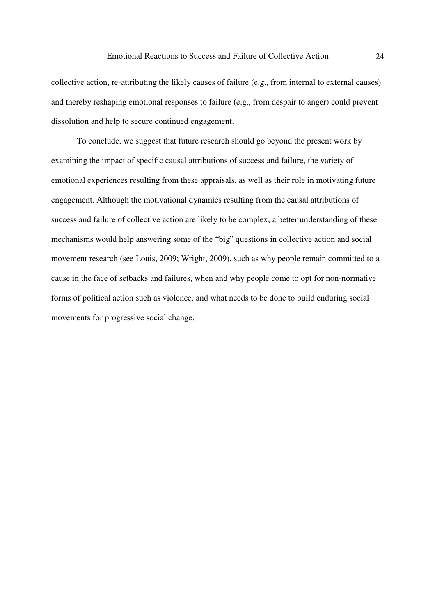collective action, re-attributing the likely causes of failure (e.g., from internal to external causes) and thereby reshaping emotional responses to failure (e.g., from despair to anger) could prevent dissolution and help to secure continued engagement.

To conclude, we suggest that future research should go beyond the present work by examining the impact of specific causal attributions of success and failure, the variety of emotional experiences resulting from these appraisals, as well as their role in motivating future engagement. Although the motivational dynamics resulting from the causal attributions of success and failure of collective action are likely to be complex, a better understanding of these mechanisms would help answering some of the "big" questions in collective action and social movement research (see Louis, 2009; Wright, 2009), such as why people remain committed to a cause in the face of setbacks and failures, when and why people come to opt for non-normative forms of political action such as violence, and what needs to be done to build enduring social movements for progressive social change.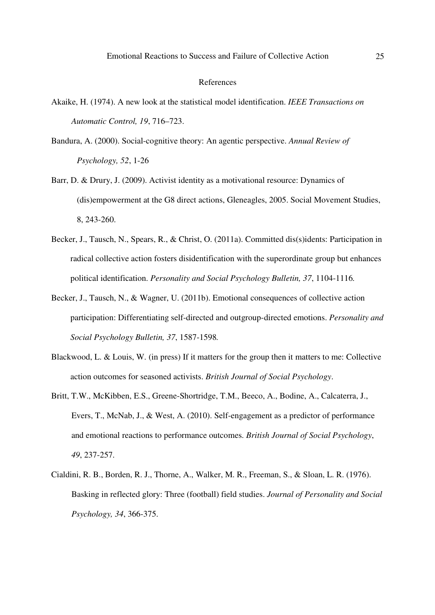#### References

- Akaike, H. (1974). A new look at the statistical model identification. *IEEE Transactions on Automatic Control, 19*, 716–723.
- Bandura, A. (2000). Social-cognitive theory: An agentic perspective. *Annual Review of Psychology, 52*, 1-26
- Barr, D. & Drury, J. (2009). Activist identity as a motivational resource: Dynamics of (dis)empowerment at the G8 direct actions, Gleneagles, 2005. Social Movement Studies, 8, 243-260.
- Becker, J., Tausch, N., Spears, R., & Christ, O. (2011a). Committed dis(s)idents: Participation in radical collective action fosters disidentification with the superordinate group but enhances political identification. *Personality and Social Psychology Bulletin, 37*, 1104-1116*.*
- Becker, J., Tausch, N., & Wagner, U. (2011b). Emotional consequences of collective action participation: Differentiating self-directed and outgroup-directed emotions. *Personality and Social Psychology Bulletin, 37*, 1587-1598*.*
- Blackwood, L. & Louis, W. (in press) If it matters for the group then it matters to me: Collective action outcomes for seasoned activists. *British Journal of Social Psychology*.
- Britt, T.W., McKibben, E.S., Greene-Shortridge, T.M., Beeco, A., Bodine, A., Calcaterra, J., Evers, T., McNab, J., & West, A. (2010). Self-engagement as a predictor of performance and emotional reactions to performance outcomes. *British Journal of Social Psychology*, *49*, 237-257.
- Cialdini, R. B., Borden, R. J., Thorne, A., Walker, M. R., Freeman, S., & Sloan, L. R. (1976). Basking in reflected glory: Three (football) field studies. *Journal of Personality and Social Psychology, 34*, 366-375.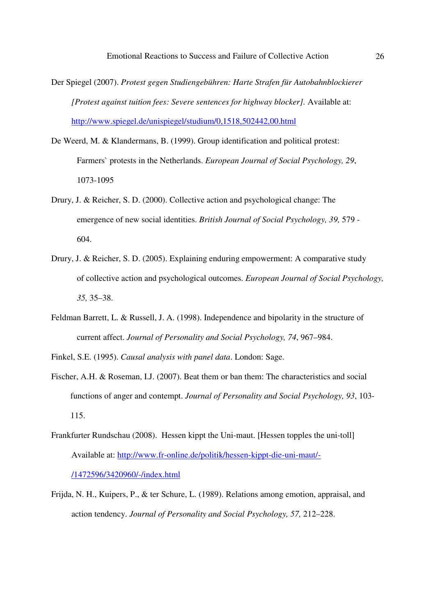- Der Spiegel (2007). *Protest gegen Studiengebühren: Harte Strafen für Autobahnblockierer [Protest against tuition fees: Severe sentences for highway blocker].* Available at: http://www.spiegel.de/unispiegel/studium/0,1518,502442,00.html
- De Weerd, M. & Klandermans, B. (1999). Group identification and political protest: Farmers` protests in the Netherlands. *European Journal of Social Psychology, 29*, 1073-1095
- Drury, J. & Reicher, S. D. (2000). Collective action and psychological change: The emergence of new social identities. *British Journal of Social Psychology, 39,* 579 - 604.
- Drury, J. & Reicher, S. D. (2005). Explaining enduring empowerment: A comparative study of collective action and psychological outcomes. *European Journal of Social Psychology, 35,* 35–38.
- Feldman Barrett, L. & Russell, J. A. (1998). Independence and bipolarity in the structure of current affect. *Journal of Personality and Social Psychology, 74*, 967–984.
- Finkel, S.E. (1995). *Causal analysis with panel data*. London: Sage.
- Fischer, A.H. & Roseman, I.J. (2007). Beat them or ban them: The characteristics and social functions of anger and contempt. *Journal of Personality and Social Psychology, 93*, 103- 115.
- Frankfurter Rundschau (2008). Hessen kippt the Uni-maut. [Hessen topples the uni-toll] Available at: http://www.fr-online.de/politik/hessen-kippt-die-uni-maut/- /1472596/3420960/-/index.html
- Frijda, N. H., Kuipers, P., & ter Schure, L. (1989). Relations among emotion, appraisal, and action tendency. *Journal of Personality and Social Psychology, 57,* 212–228.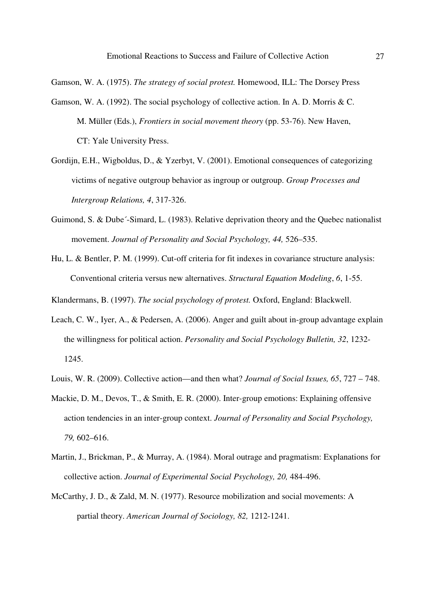Gamson, W. A. (1975). *The strategy of social protest.* Homewood, ILL: The Dorsey Press

- Gamson, W. A. (1992). The social psychology of collective action. In A. D. Morris & C. M. Müller (Eds.), *Frontiers in social movement theory* (pp. 53-76). New Haven, CT: Yale University Press.
- Gordijn, E.H., Wigboldus, D., & Yzerbyt, V. (2001). Emotional consequences of categorizing victims of negative outgroup behavior as ingroup or outgroup. *Group Processes and Intergroup Relations, 4*, 317-326.
- Guimond, S. & Dube´-Simard, L. (1983). Relative deprivation theory and the Quebec nationalist movement. *Journal of Personality and Social Psychology, 44, 526–535.*
- Hu, L. & Bentler, P. M. (1999). Cut-off criteria for fit indexes in covariance structure analysis: Conventional criteria versus new alternatives. *Structural Equation Modeling*, *6*, 1-55.

Klandermans, B. (1997). *The social psychology of protest.* Oxford, England: Blackwell.

- Leach, C. W., Iyer, A., & Pedersen, A. (2006). Anger and guilt about in-group advantage explain the willingness for political action. *Personality and Social Psychology Bulletin, 32*, 1232- 1245.
- Louis, W. R. (2009). Collective action—and then what? *Journal of Social Issues, 65*, 727 748.
- Mackie, D. M., Devos, T., & Smith, E. R. (2000). Inter-group emotions: Explaining offensive action tendencies in an inter-group context. *Journal of Personality and Social Psychology, 79,* 602–616.
- Martin, J., Brickman, P., & Murray, A. (1984). Moral outrage and pragmatism: Explanations for collective action. *Journal of Experimental Social Psychology, 20,* 484-496.
- McCarthy, J. D., & Zald, M. N. (1977). Resource mobilization and social movements: A partial theory. *American Journal of Sociology, 82,* 1212-1241.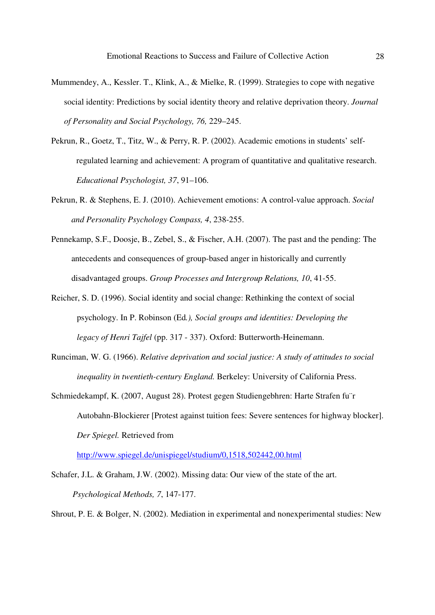- Mummendey, A., Kessler. T., Klink, A., & Mielke, R. (1999). Strategies to cope with negative social identity: Predictions by social identity theory and relative deprivation theory. *Journal of Personality and Social Psychology, 76,* 229–245.
- Pekrun, R., Goetz, T., Titz, W., & Perry, R. P. (2002). Academic emotions in students' selfregulated learning and achievement: A program of quantitative and qualitative research. *Educational Psychologist, 37*, 91–106.
- Pekrun, R. & Stephens, E. J. (2010). Achievement emotions: A control-value approach. *Social and Personality Psychology Compass, 4*, 238-255.
- Pennekamp, S.F., Doosje, B., Zebel, S., & Fischer, A.H. (2007). The past and the pending: The antecedents and consequences of group-based anger in historically and currently disadvantaged groups. *Group Processes and Intergroup Relations, 10*, 41-55.
- Reicher, S. D. (1996). Social identity and social change: Rethinking the context of social psychology. In P. Robinson (Ed*.), Social groups and identities: Developing the legacy of Henri Tajfel* (pp. 317 - 337). Oxford: Butterworth-Heinemann.
- Runciman, W. G. (1966). *Relative deprivation and social justice: A study of attitudes to social inequality in twentieth-century England.* Berkeley: University of California Press.
- Schmiedekampf, K. (2007, August 28). Protest gegen Studiengebhren: Harte Strafen fu¨r Autobahn-Blockierer [Protest against tuition fees: Severe sentences for highway blocker]. *Der Spiegel.* Retrieved from

http://www.spiegel.de/unispiegel/studium/0,1518,502442,00.html

Schafer, J.L. & Graham, J.W. (2002). Missing data: Our view of the state of the art. *Psychological Methods, 7*, 147-177.

Shrout, P. E. & Bolger, N. (2002). Mediation in experimental and nonexperimental studies: New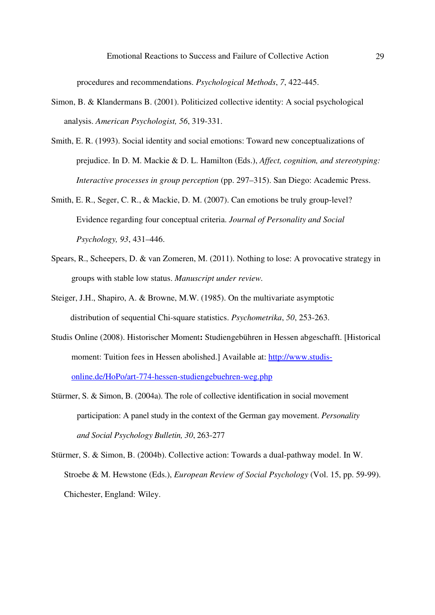procedures and recommendations. *Psychological Methods*, *7*, 422-445.

- Simon, B. & Klandermans B. (2001). Politicized collective identity: A social psychological analysis. *American Psychologist, 56*, 319-331.
- Smith, E. R. (1993). Social identity and social emotions: Toward new conceptualizations of prejudice. In D. M. Mackie & D. L. Hamilton (Eds.), *Affect, cognition, and stereotyping: Interactive processes in group perception* (pp. 297–315). San Diego: Academic Press.
- Smith, E. R., Seger, C. R., & Mackie, D. M. (2007). Can emotions be truly group-level? Evidence regarding four conceptual criteria. *Journal of Personality and Social Psychology, 93*, 431–446.
- Spears, R., Scheepers, D. & van Zomeren, M. (2011). Nothing to lose: A provocative strategy in groups with stable low status. *Manuscript under review.*
- Steiger, J.H., Shapiro, A. & Browne, M.W. (1985). On the multivariate asymptotic distribution of sequential Chi-square statistics. *Psychometrika*, *50*, 253-263.
- Studis Online (2008). Historischer Moment**:** Studiengebühren in Hessen abgeschafft. [Historical moment: Tuition fees in Hessen abolished.] Available at: http://www.studisonline.de/HoPo/art-774-hessen-studiengebuehren-weg.php
- Stürmer, S. & Simon, B. (2004a). The role of collective identification in social movement participation: A panel study in the context of the German gay movement. *Personality and Social Psychology Bulletin, 30*, 263-277
- Stürmer, S. & Simon, B. (2004b). Collective action: Towards a dual-pathway model. In W. Stroebe & M. Hewstone (Eds.), *European Review of Social Psychology* (Vol. 15, pp. 59-99). Chichester, England: Wiley.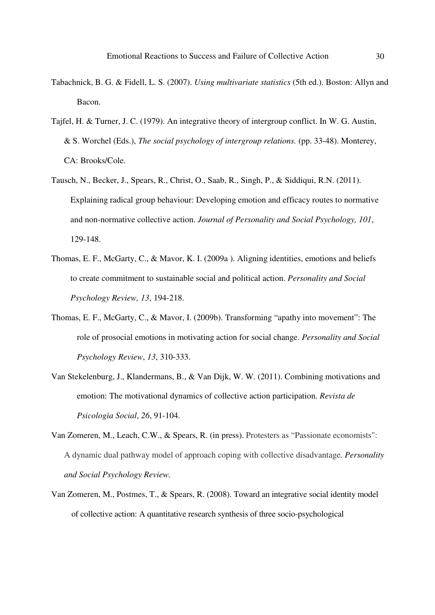- Tabachnick, B. G. & Fidell, L. S. (2007). *Using multivariate statistics* (5th ed.). Boston: Allyn and Bacon.
- Tajfel, H. & Turner, J. C. (1979). An integrative theory of intergroup conflict. In W. G. Austin, & S. Worchel (Eds.), *The social psychology of intergroup relations.* (pp. 33-48). Monterey, CA: Brooks/Cole.
- Tausch, N., Becker, J., Spears, R., Christ, O., Saab, R., Singh, P., & Siddiqui, R.N. (2011). Explaining radical group behaviour: Developing emotion and efficacy routes to normative and non-normative collective action. *Journal of Personality and Social Psychology, 101*, 129-148.
- Thomas, E. F., McGarty, C., & Mavor, K. I. (2009a ). Aligning identities, emotions and beliefs to create commitment to sustainable social and political action. *Personality and Social Psychology Review, 13*, 194-218.
- Thomas, E. F., McGarty, C., & Mavor, I. (2009b). Transforming "apathy into movement": The role of prosocial emotions in motivating action for social change. *Personality and Social Psychology Review*, *13*, 310-333.
- Van Stekelenburg, J., Klandermans, B., & Van Dijk, W. W. (2011). Combining motivations and emotion: The motivational dynamics of collective action participation. *Revista de Psicologìa Social*, *26*, 91-104.
- Van Zomeren, M., Leach, C.W., & Spears, R. (in press). Protesters as "Passionate economists": A dynamic dual pathway model of approach coping with collective disadvantage*. Personality and Social Psychology Review.*
- Van Zomeren, M., Postmes, T., & Spears, R. (2008). Toward an integrative social identity model of collective action: A quantitative research synthesis of three socio-psychological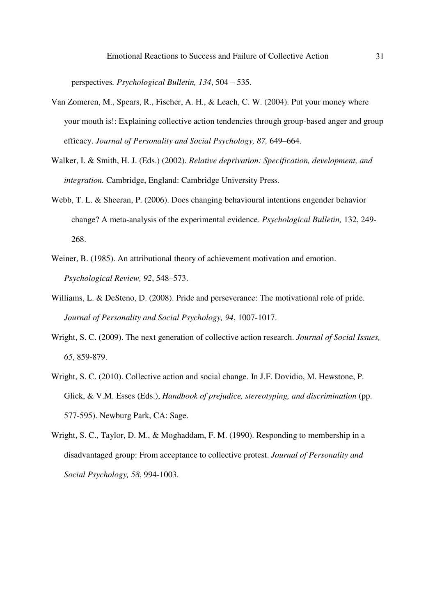perspectives*. Psychological Bulletin, 134*, 504 – 535.

- Van Zomeren, M., Spears, R., Fischer, A. H., & Leach, C. W. (2004). Put your money where your mouth is!: Explaining collective action tendencies through group-based anger and group efficacy. *Journal of Personality and Social Psychology, 87,* 649–664.
- Walker, I. & Smith, H. J. (Eds.) (2002). *Relative deprivation: Specification, development, and integration.* Cambridge, England: Cambridge University Press.
- Webb, T. L. & Sheeran, P. (2006). Does changing behavioural intentions engender behavior change? A meta-analysis of the experimental evidence. *Psychological Bulletin,* 132, 249- 268.
- Weiner, B. (1985). An attributional theory of achievement motivation and emotion. *Psychological Review, 92*, 548–573.
- Williams, L. & DeSteno, D. (2008). Pride and perseverance: The motivational role of pride. *Journal of Personality and Social Psychology, 94*, 1007-1017.
- Wright, S. C. (2009). The next generation of collective action research. *Journal of Social Issues, 65*, 859-879.
- Wright, S. C. (2010). Collective action and social change. In J.F. Dovidio, M. Hewstone, P. Glick, & V.M. Esses (Eds.), *Handbook of prejudice, stereotyping, and discrimination* (pp. 577-595). Newburg Park, CA: Sage.
- Wright, S. C., Taylor, D. M., & Moghaddam, F. M. (1990). Responding to membership in a disadvantaged group: From acceptance to collective protest. *Journal of Personality and Social Psychology, 58*, 994-1003.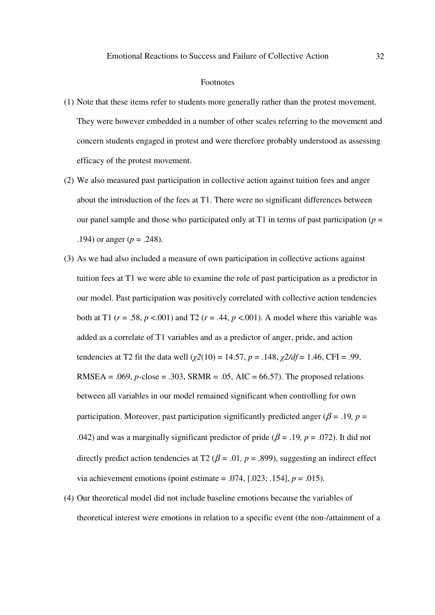#### Footnotes

- (1) Note that these items refer to students more generally rather than the protest movement. They were however embedded in a number of other scales referring to the movement and concern students engaged in protest and were therefore probably understood as assessing efficacy of the protest movement.
- (2) We also measured past participation in collective action against tuition fees and anger about the introduction of the fees at T1. There were no significant differences between our panel sample and those who participated only at T1 in terms of past participation ( $p =$ .194) or anger ( $p = .248$ ).
- (3) As we had also included a measure of own participation in collective actions against tuition fees at T1 we were able to examine the role of past participation as a predictor in our model. Past participation was positively correlated with collective action tendencies both at T1 ( $r = .58$ ,  $p < .001$ ) and T2 ( $r = .44$ ,  $p < .001$ ). A model where this variable was added as a correlate of T1 variables and as a predictor of anger, pride, and action tendencies at T2 fit the data well ( $\gamma$ 2(10) = 14.57, *p* = .148,  $\gamma$ 2/df = 1.46, CFI = .99, RMSEA = .069, *p*-close = .303, SRMR = .05, AIC = 66.57). The proposed relations between all variables in our model remained significant when controlling for own participation. Moreover, past participation significantly predicted anger ( $\beta$  = .19*, p* = .042) and was a marginally significant predictor of pride ( $\beta$  = .19*, p* = .072). It did not directly predict action tendencies at T2 ( $\beta$  = .01, p = .899), suggesting an indirect effect via achievement emotions (point estimate = .074,  $[.023; .154]$ ,  $p = .015$ ).
- (4) Our theoretical model did not include baseline emotions because the variables of theoretical interest were emotions in relation to a specific event (the non-/attainment of a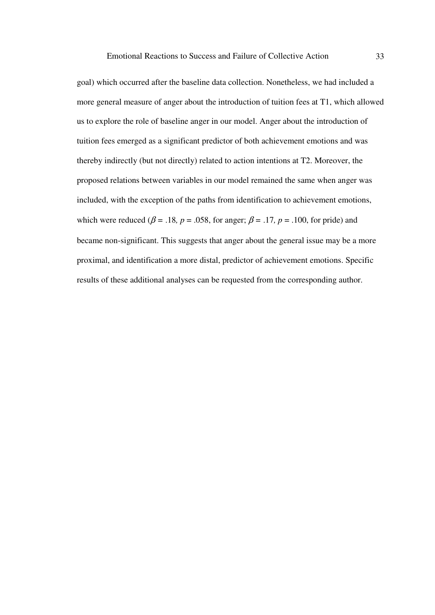goal) which occurred after the baseline data collection. Nonetheless, we had included a more general measure of anger about the introduction of tuition fees at T1, which allowed us to explore the role of baseline anger in our model. Anger about the introduction of tuition fees emerged as a significant predictor of both achievement emotions and was thereby indirectly (but not directly) related to action intentions at T2. Moreover, the proposed relations between variables in our model remained the same when anger was included, with the exception of the paths from identification to achievement emotions, which were reduced ( $\beta$  = .18*, p* = .058*,* for anger;  $\beta$  = .17*, p* = .100*,* for pride) and became non-significant. This suggests that anger about the general issue may be a more proximal, and identification a more distal, predictor of achievement emotions. Specific results of these additional analyses can be requested from the corresponding author.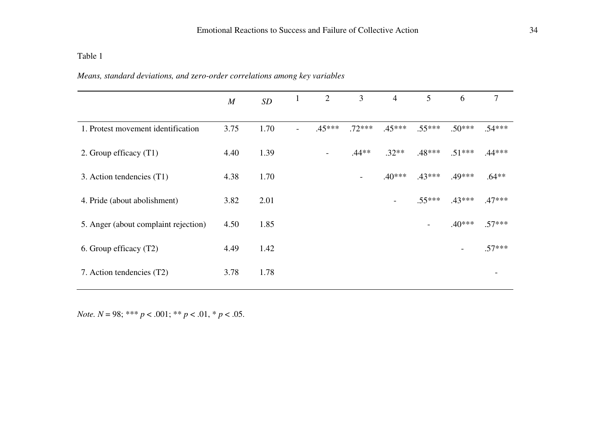Table 1

| Means, standard deviations, and zero-order correlations among key variables |  |  |  |
|-----------------------------------------------------------------------------|--|--|--|
|                                                                             |  |  |  |

|                                      | M    | $\boldsymbol{SD}$ | $\mathbf{1}$ | 2        | 3        | $\overline{4}$           | 5                        | 6        | $\tau$   |
|--------------------------------------|------|-------------------|--------------|----------|----------|--------------------------|--------------------------|----------|----------|
| 1. Protest movement identification   | 3.75 | 1.70              |              | $.45***$ | $.72***$ | $.45***$                 | $.55***$                 | $.50***$ | $.54***$ |
| 2. Group efficacy (T1)               | 4.40 | 1.39              |              | Ξ.       | $.44**$  | $.32**$                  | $.48***$                 | $.51***$ | $.44***$ |
| 3. Action tendencies (T1)            | 4.38 | 1.70              |              |          |          | $.40***$                 | $.43***$                 | .49***   | $.64**$  |
| 4. Pride (about abolishment)         | 3.82 | 2.01              |              |          |          | $\overline{\phantom{a}}$ | $.55***$                 | $.43***$ | $.47***$ |
| 5. Anger (about complaint rejection) | 4.50 | 1.85              |              |          |          |                          | $\overline{\phantom{a}}$ | $.40***$ | $.57***$ |
| 6. Group efficacy (T2)               | 4.49 | 1.42              |              |          |          |                          |                          |          | $.57***$ |
| 7. Action tendencies (T2)            | 3.78 | 1.78              |              |          |          |                          |                          |          |          |

*Note. N* = 98; \*\*\* *p* < .001; \*\* *p* < .01, \* *p* < .05.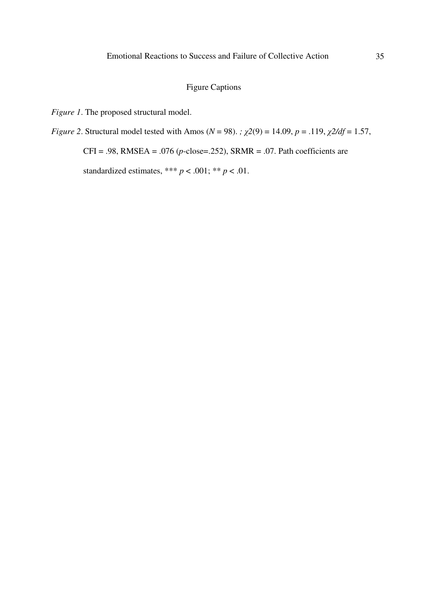# Figure Captions

*Figure 1*. The proposed structural model.

*Figure 2.* Structural model tested with Amos ( $N = 98$ ). *;*  $\chi$ 2(9) = 14.09, *p* = .119,  $\chi$ 2/df = 1.57,

CFI = .98, RMSEA = .076 (*p*-close=.252), SRMR = .07. Path coefficients are

standardized estimates, \*\*\*  $p < .001$ ; \*\*  $p < .01$ .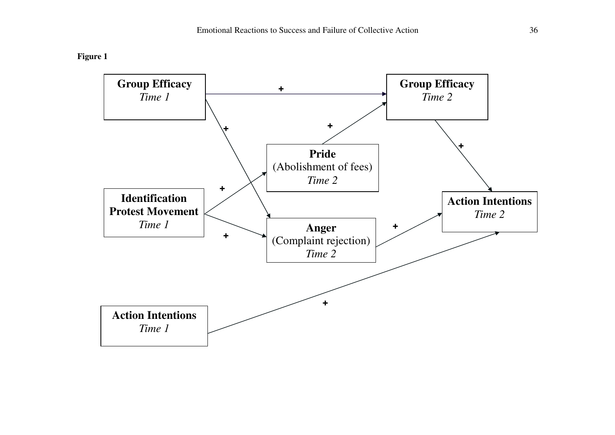